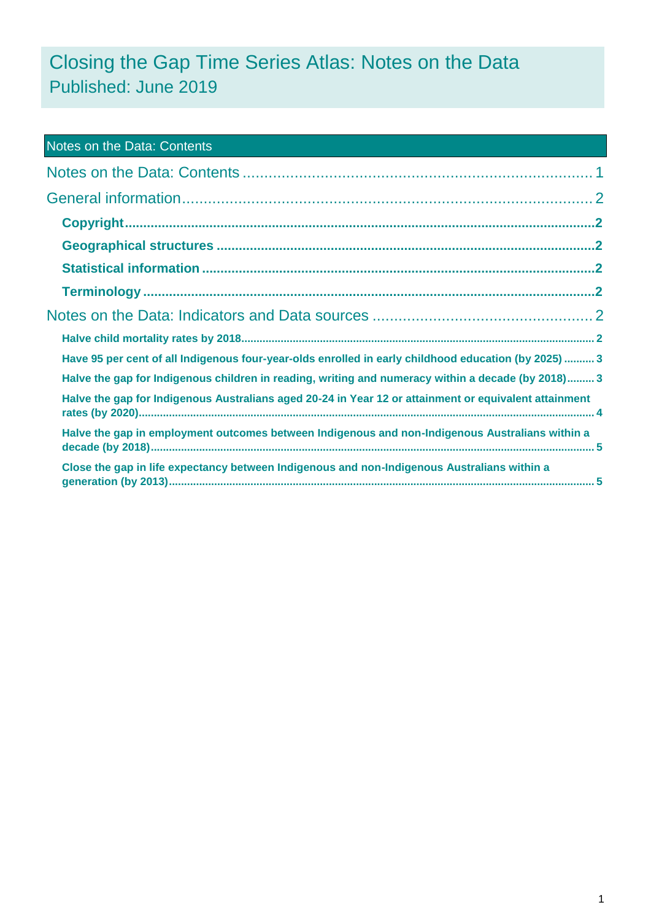# Closing the Gap Time Series Atlas: Notes on the Data Published: June 2019

<span id="page-0-0"></span>

| <b>Notes on the Data: Contents</b>                                                                    |  |
|-------------------------------------------------------------------------------------------------------|--|
|                                                                                                       |  |
|                                                                                                       |  |
|                                                                                                       |  |
|                                                                                                       |  |
|                                                                                                       |  |
|                                                                                                       |  |
|                                                                                                       |  |
|                                                                                                       |  |
| Have 95 per cent of all Indigenous four-year-olds enrolled in early childhood education (by 2025)  3  |  |
| Halve the gap for Indigenous children in reading, writing and numeracy within a decade (by 2018) 3    |  |
| Halve the gap for Indigenous Australians aged 20-24 in Year 12 or attainment or equivalent attainment |  |
| Halve the gap in employment outcomes between Indigenous and non-Indigenous Australians within a       |  |
| Close the gap in life expectancy between Indigenous and non-Indigenous Australians within a           |  |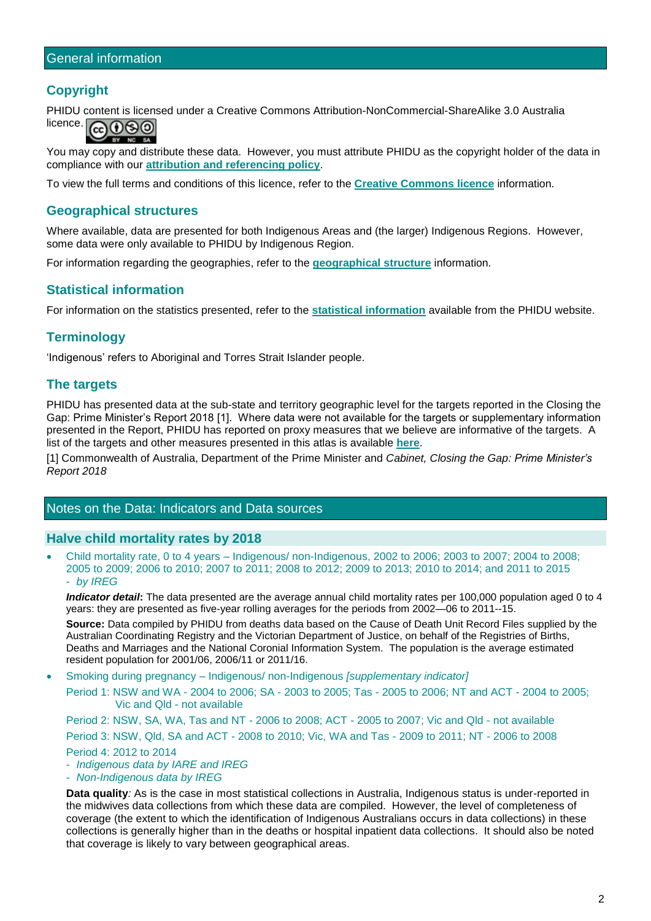## <span id="page-1-1"></span><span id="page-1-0"></span>**Copyright**

PHIDU content is licensed under a Creative Commons Attribution-NonCommercial-ShareAlike 3.0 Australia licence. බ0෧෧

You may copy and distribute these data. However, you must attribute PHIDU as the copyright holder of the data in compliance with our **[attribution and referencing policy](https://phidu.torrens.edu.au/help-and-information/copyright-disclaimer/licensing-and-attribution-of-phidu-content)**.

To view the full terms and conditions of this licence, refer to the **[Creative Commons licence](http://creativecommons.org/licenses/by-nc-sa/3.0/au/)** information.

#### <span id="page-1-2"></span>**Geographical structures**

Where available, data are presented for both Indigenous Areas and (the larger) Indigenous Regions. However, some data were only available to PHIDU by Indigenous Region.

For information regarding the geographies, refer to the **[geographical structure](https://phidu.torrens.edu.au/help-and-information/about-our-data/geographical-structures#aboriginal-torres-strait-islander-social-health-atlas)** information.

## <span id="page-1-3"></span>**Statistical information**

For information on the statistics presented, refer to the **[statistical information](https://phidu.torrens.edu.au/help-and-information/about-our-data/statistical-information)** available from the PHIDU website.

## <span id="page-1-4"></span>**Terminology**

'Indigenous' refers to Aboriginal and Torres Strait Islander people.

#### **The targets**

PHIDU has presented data at the sub-state and territory geographic level for the targets reported in the Closing the Gap: Prime Minister's Report 2018 [1]. Where data were not available for the targets or supplementary information presented in the Report, PHIDU has reported on proxy measures that we believe are informative of the targets. A list of the targets and other measures presented in this atlas is available **[here](https://phidu.torrens.edu.au/current/data/sha-topics/notes/ctg_targets_indicators.pdf)**.

[1] Commonwealth of Australia, Department of the Prime Minister and *Cabinet, Closing the Gap: Prime Minister's Report 2018*

## <span id="page-1-5"></span>Notes on the Data: Indicators and Data sources

#### <span id="page-1-6"></span>**Halve child mortality rates by 2018**

• Child mortality rate, 0 to 4 years – Indigenous/ non-Indigenous, 2002 to 2006; 2003 to 2007; 2004 to 2008; 2005 to 2009; 2006 to 2010; 2007 to 2011; 2008 to 2012; 2009 to 2013; 2010 to 2014; and 2011 to 2015 - *by IREG*

*Indicator detail***:** The data presented are the average annual child mortality rates per 100,000 population aged 0 to 4 years: they are presented as five-year rolling averages for the periods from 2002—06 to 2011--15.

**Source:** Data compiled by PHIDU from deaths data based on the Cause of Death Unit Record Files supplied by the Australian Coordinating Registry and the Victorian Department of Justice, on behalf of the Registries of Births, Deaths and Marriages and the National Coronial Information System. The population is the average estimated resident population for 2001/06, 2006/11 or 2011/16.

• Smoking during pregnancy – Indigenous/ non-Indigenous *[supplementary indicator]*

Period 1: NSW and WA - 2004 to 2006; SA - 2003 to 2005; Tas - 2005 to 2006; NT and ACT - 2004 to 2005; Vic and Qld - not available

Period 2: NSW, SA, WA, Tas and NT - 2006 to 2008; ACT - 2005 to 2007; Vic and Qld - not available Period 3: NSW, Qld, SA and ACT - 2008 to 2010; Vic, WA and Tas - 2009 to 2011; NT - 2006 to 2008 Period 4: 2012 to 2014

- *Indigenous data by IARE and IREG*
- *Non-Indigenous data by IREG*

**Data quality***:* As is the case in most statistical collections in Australia, Indigenous status is under-reported in the midwives data collections from which these data are compiled. However, the level of completeness of coverage (the extent to which the identification of Indigenous Australians occurs in data collections) in these collections is generally higher than in the deaths or hospital inpatient data collections. It should also be noted that coverage is likely to vary between geographical areas.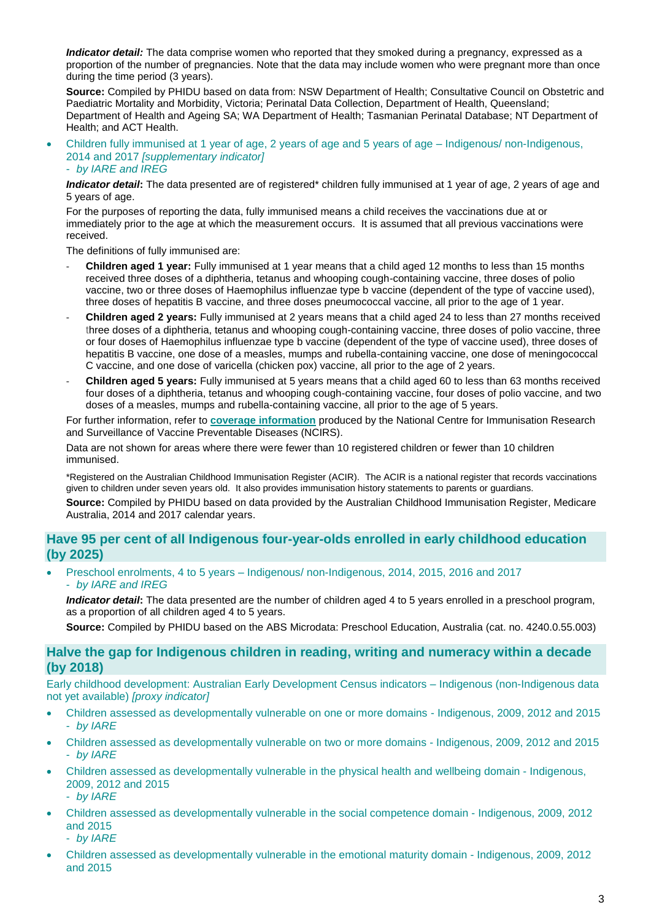*Indicator detail:* The data comprise women who reported that they smoked during a pregnancy, expressed as a proportion of the number of pregnancies. Note that the data may include women who were pregnant more than once during the time period (3 years).

**Source:** Compiled by PHIDU based on data from: NSW Department of Health; Consultative Council on Obstetric and Paediatric Mortality and Morbidity, Victoria; Perinatal Data Collection, Department of Health, Queensland; Department of Health and Ageing SA; WA Department of Health; Tasmanian Perinatal Database; NT Department of Health; and ACT Health.

• Children fully immunised at 1 year of age, 2 years of age and 5 years of age – Indigenous/ non-Indigenous, 2014 and 2017 *[supplementary indicator]*

#### - *by IARE and IREG*

*Indicator detail***:** The data presented are of registered\* children fully immunised at 1 year of age, 2 years of age and 5 years of age.

For the purposes of reporting the data, fully immunised means a child receives the vaccinations due at or immediately prior to the age at which the measurement occurs. It is assumed that all previous vaccinations were received.

The definitions of fully immunised are:

- **Children aged 1 year:** Fully immunised at 1 year means that a child aged 12 months to less than 15 months received three doses of a diphtheria, tetanus and whooping cough-containing vaccine, three doses of polio vaccine, two or three doses of Haemophilus influenzae type b vaccine (dependent of the type of vaccine used), three doses of hepatitis B vaccine, and three doses pneumococcal vaccine, all prior to the age of 1 year.
- **Children aged 2 years:** Fully immunised at 2 years means that a child aged 24 to less than 27 months received three doses of a diphtheria, tetanus and whooping cough-containing vaccine, three doses of polio vaccine, three or four doses of Haemophilus influenzae type b vaccine (dependent of the type of vaccine used), three doses of hepatitis B vaccine, one dose of a measles, mumps and rubella-containing vaccine, one dose of meningococcal C vaccine, and one dose of varicella (chicken pox) vaccine, all prior to the age of 2 years.
- **Children aged 5 years:** Fully immunised at 5 years means that a child aged 60 to less than 63 months received four doses of a diphtheria, tetanus and whooping cough-containing vaccine, four doses of polio vaccine, and two doses of a measles, mumps and rubella-containing vaccine, all prior to the age of 5 years.

For further information, refer to **[coverage information](http://www.ncirs.edu.au/immunisation/coverage/index.php)** produced by the National Centre for Immunisation Research and Surveillance of Vaccine Preventable Diseases (NCIRS).

Data are not shown for areas where there were fewer than 10 registered children or fewer than 10 children immunised.

\*Registered on the Australian Childhood Immunisation Register (ACIR). The ACIR is a national register that records vaccinations given to children under seven years old. It also provides immunisation history statements to parents or guardians.

**Source:** Compiled by PHIDU based on data provided by the Australian Childhood Immunisation Register, Medicare Australia, 2014 and 2017 calendar years.

#### <span id="page-2-0"></span>**Have 95 per cent of all Indigenous four-year-olds enrolled in early childhood education (by 2025)**

• Preschool enrolments, 4 to 5 years – Indigenous/ non-Indigenous, 2014, 2015, 2016 and 2017 - *by IARE and IREG*

*Indicator detail***:** The data presented are the number of children aged 4 to 5 years enrolled in a preschool program, as a proportion of all children aged 4 to 5 years.

**Source:** Compiled by PHIDU based on the ABS Microdata: Preschool Education, Australia (cat. no. 4240.0.55.003)

#### <span id="page-2-1"></span>**Halve the gap for Indigenous children in reading, writing and numeracy within a decade (by 2018)**

Early childhood development: Australian Early Development Census indicators – Indigenous (non-Indigenous data not yet available) *[proxy indicator]*

- Children assessed as developmentally vulnerable on one or more domains Indigenous, 2009, 2012 and 2015 - *by IARE*
- Children assessed as developmentally vulnerable on two or more domains Indigenous, 2009, 2012 and 2015 - *by IARE*
- Children assessed as developmentally vulnerable in the physical health and wellbeing domain Indigenous, 2009, 2012 and 2015

- *by IARE*

• Children assessed as developmentally vulnerable in the social competence domain - Indigenous, 2009, 2012 and 2015

- *by IARE*

• Children assessed as developmentally vulnerable in the emotional maturity domain - Indigenous, 2009, 2012 and 2015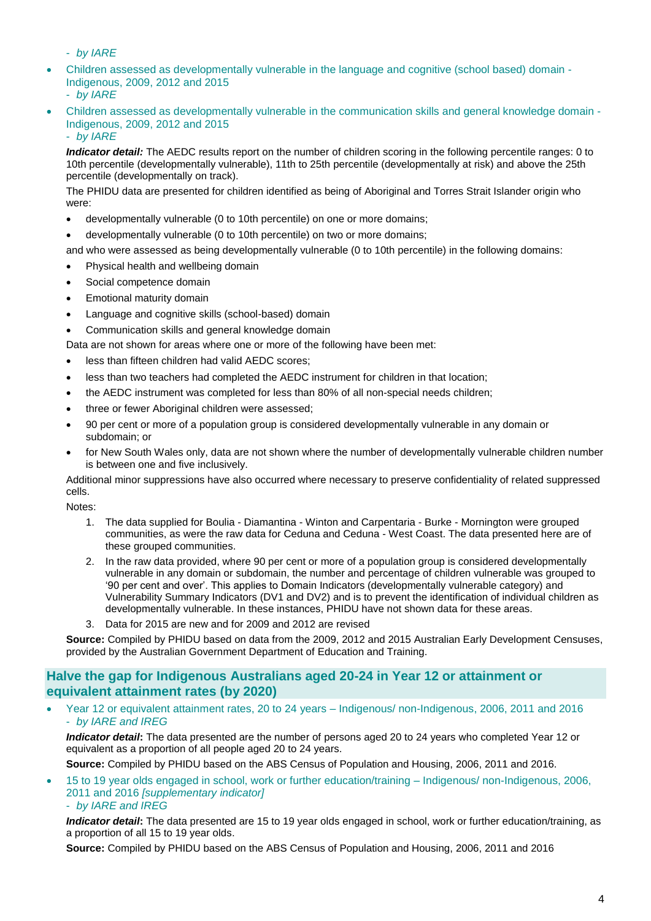- *by IARE*

- Children assessed as developmentally vulnerable in the language and cognitive (school based) domain Indigenous, 2009, 2012 and 2015 - *by IARE*
- Children assessed as developmentally vulnerable in the communication skills and general knowledge domain Indigenous, 2009, 2012 and 2015

- *by IARE*

*Indicator detail:* The AEDC results report on the number of children scoring in the following percentile ranges: 0 to 10th percentile (developmentally vulnerable), 11th to 25th percentile (developmentally at risk) and above the 25th percentile (developmentally on track).

The PHIDU data are presented for children identified as being of Aboriginal and Torres Strait Islander origin who were:

- developmentally vulnerable (0 to 10th percentile) on one or more domains;
- developmentally vulnerable (0 to 10th percentile) on two or more domains;

and who were assessed as being developmentally vulnerable (0 to 10th percentile) in the following domains:

- Physical health and wellbeing domain
- Social competence domain
- Emotional maturity domain
- Language and cognitive skills (school-based) domain
- Communication skills and general knowledge domain
- Data are not shown for areas where one or more of the following have been met:
- less than fifteen children had valid AEDC scores;
- less than two teachers had completed the AEDC instrument for children in that location;
- the AEDC instrument was completed for less than 80% of all non-special needs children;
- three or fewer Aboriginal children were assessed;
- 90 per cent or more of a population group is considered developmentally vulnerable in any domain or subdomain; or
- for New South Wales only, data are not shown where the number of developmentally vulnerable children number is between one and five inclusively.

Additional minor suppressions have also occurred where necessary to preserve confidentiality of related suppressed cells.

Notes:

- 1. The data supplied for Boulia Diamantina Winton and Carpentaria Burke Mornington were grouped communities, as were the raw data for Ceduna and Ceduna - West Coast. The data presented here are of these grouped communities.
- 2. In the raw data provided, where 90 per cent or more of a population group is considered developmentally vulnerable in any domain or subdomain, the number and percentage of children vulnerable was grouped to '90 per cent and over'. This applies to Domain Indicators (developmentally vulnerable category) and Vulnerability Summary Indicators (DV1 and DV2) and is to prevent the identification of individual children as developmentally vulnerable. In these instances, PHIDU have not shown data for these areas.
- 3. Data for 2015 are new and for 2009 and 2012 are revised

**Source:** Compiled by PHIDU based on data from the 2009, 2012 and 2015 Australian Early Development Censuses, provided by the Australian Government Department of Education and Training.

#### <span id="page-3-0"></span>**Halve the gap for Indigenous Australians aged 20-24 in Year 12 or attainment or equivalent attainment rates (by 2020)**

• Year 12 or equivalent attainment rates, 20 to 24 years – Indigenous/ non-Indigenous, 2006, 2011 and 2016 - *by IARE and IREG*

*Indicator detail***:** The data presented are the number of persons aged 20 to 24 years who completed Year 12 or equivalent as a proportion of all people aged 20 to 24 years.

**Source:** Compiled by PHIDU based on the ABS Census of Population and Housing, 2006, 2011 and 2016.

• 15 to 19 year olds engaged in school, work or further education/training – Indigenous/ non-Indigenous, 2006, 2011 and 2016 *[supplementary indicator]* - *by IARE and IREG*

*Indicator detail***:** The data presented are 15 to 19 year olds engaged in school, work or further education/training, as a proportion of all 15 to 19 year olds.

**Source:** Compiled by PHIDU based on the ABS Census of Population and Housing, 2006, 2011 and 2016